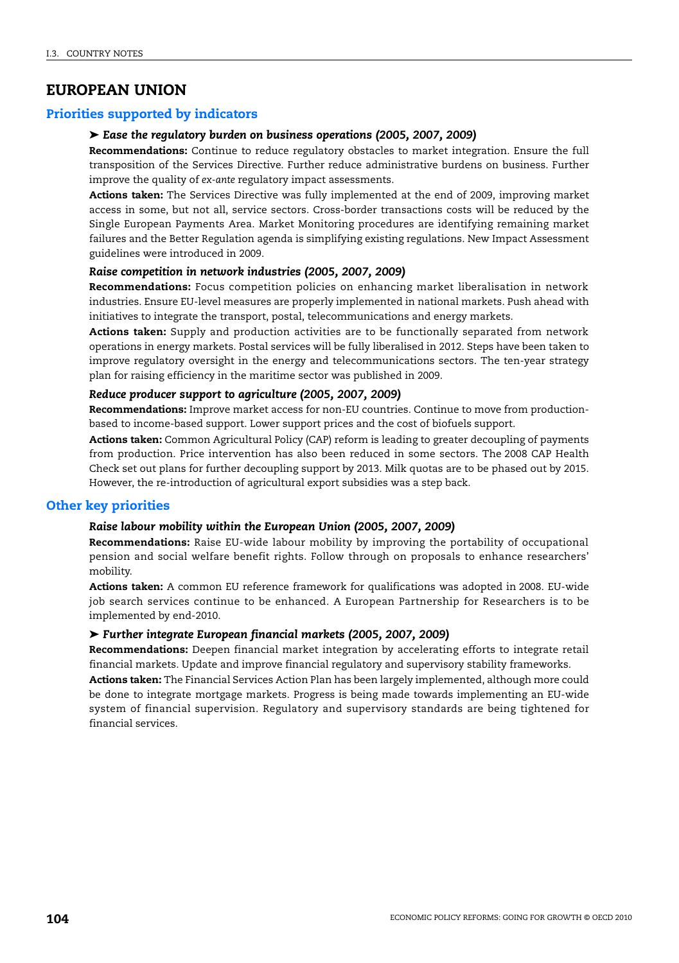# **EUROPEAN UNION**

# **Priorities supported by indicators**

# ➤ *Ease the regulatory burden on business operations (2005, 2007, 2009)*

**Recommendations:** Continue to reduce regulatory obstacles to market integration. Ensure the full transposition of the Services Directive. Further reduce administrative burdens on business. Further improve the quality of *ex-ante* regulatory impact assessments.

**Actions taken:** The Services Directive was fully implemented at the end of 2009, improving market access in some, but not all, service sectors. Cross-border transactions costs will be reduced by the Single European Payments Area. Market Monitoring procedures are identifying remaining market failures and the Better Regulation agenda is simplifying existing regulations. New Impact Assessment guidelines were introduced in 2009.

### *Raise competition in network industries (2005, 2007, 2009)*

**Recommendations:** Focus competition policies on enhancing market liberalisation in network industries. Ensure EU-level measures are properly implemented in national markets. Push ahead with initiatives to integrate the transport, postal, telecommunications and energy markets.

**Actions taken:** Supply and production activities are to be functionally separated from network operations in energy markets. Postal services will be fully liberalised in 2012. Steps have been taken to improve regulatory oversight in the energy and telecommunications sectors. The ten-year strategy plan for raising efficiency in the maritime sector was published in 2009.

### *Reduce producer support to agriculture (2005, 2007, 2009)*

**Recommendations:** Improve market access for non-EU countries. Continue to move from productionbased to income-based support. Lower support prices and the cost of biofuels support.

**Actions taken:** Common Agricultural Policy (CAP) reform is leading to greater decoupling of payments from production. Price intervention has also been reduced in some sectors. The 2008 CAP Health Check set out plans for further decoupling support by 2013. Milk quotas are to be phased out by 2015. However, the re-introduction of agricultural export subsidies was a step back.

# **Other key priorities**

#### *Raise labour mobility within the European Union (2005, 2007, 2009)*

**Recommendations:** Raise EU-wide labour mobility by improving the portability of occupational pension and social welfare benefit rights. Follow through on proposals to enhance researchers' mobility.

**Actions taken:** A common EU reference framework for qualifications was adopted in 2008. EU-wide job search services continue to be enhanced. A European Partnership for Researchers is to be implemented by end-2010.

### ➤ *Further integrate European financial markets (2005, 2007, 2009)*

**Recommendations:** Deepen financial market integration by accelerating efforts to integrate retail financial markets. Update and improve financial regulatory and supervisory stability frameworks.

**Actions taken:** The Financial Services Action Plan has been largely implemented, although more could be done to integrate mortgage markets. Progress is being made towards implementing an EU-wide system of financial supervision. Regulatory and supervisory standards are being tightened for financial services.